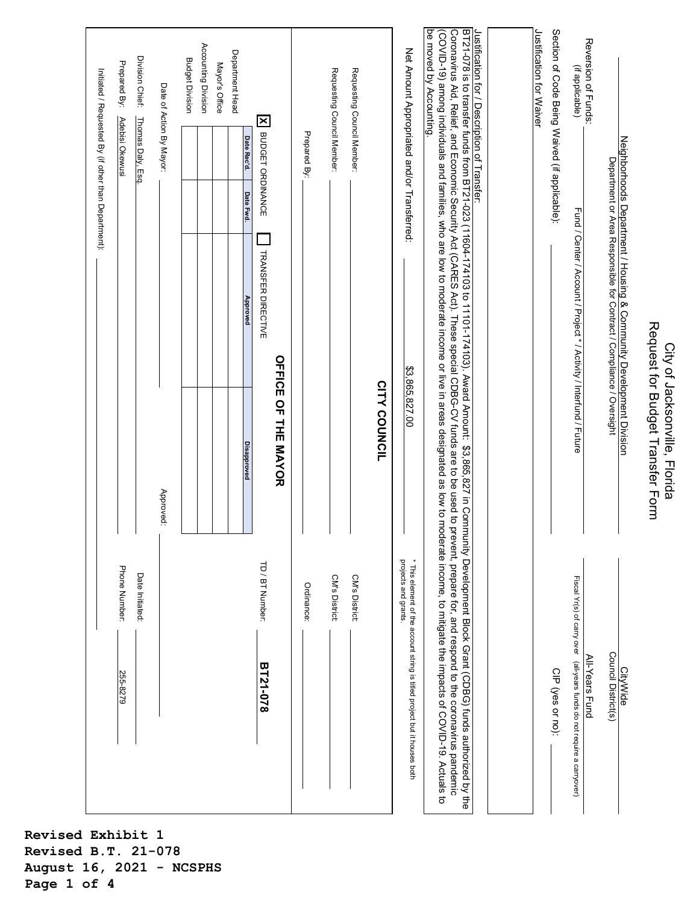| Phone Number:<br>Date Initiated:<br>255-8279                                                      | Accounting Division<br>Department Head<br>Division Chief:<br><b>Budget Division</b><br>Prepared By:<br>Mayor's Office<br>Initiated / Requested By (if other than Department):<br>Date of Action By Mayor:<br>Adebisi Okewusi<br>Thomas Daly, Esq<br>Date Rec'd.<br>Date Fwd.<br>Approved<br><b>Disapproved</b><br>Approved:                                                                                                                                                                                                                                                                                                                                                   |  |
|---------------------------------------------------------------------------------------------------|-------------------------------------------------------------------------------------------------------------------------------------------------------------------------------------------------------------------------------------------------------------------------------------------------------------------------------------------------------------------------------------------------------------------------------------------------------------------------------------------------------------------------------------------------------------------------------------------------------------------------------------------------------------------------------|--|
| TD / BT Number:<br>Ordinance:<br>BT21-078                                                         | $\boldsymbol{\mathsf{x}}$<br>BUDGET ORDINANCE<br>Prepared By:<br>TRANSFER DIRECTIVE<br><b>OPFICE OF THE SAYOR</b>                                                                                                                                                                                                                                                                                                                                                                                                                                                                                                                                                             |  |
| CM's District:<br>CM's District:                                                                  | Requesting Council Member:<br>Requesting Council Member:<br><b>CITY COUNCIL</b>                                                                                                                                                                                                                                                                                                                                                                                                                                                                                                                                                                                               |  |
| projects and grants.<br>* This element of the account string is titled project but it houses both | Net Amount Appropriated and/or Transferred:<br>\$3,865,827.00                                                                                                                                                                                                                                                                                                                                                                                                                                                                                                                                                                                                                 |  |
|                                                                                                   | BT21-078 is to transfer throm BT21-020 (1974,1992) 1978, 2010 11101-171003, Xxiang Darm: \$3,98652 in Cenner (SDFC) 1979, 1979, 1979, 1979, 1979, 1979, 1979, 1979, 1979, 1979, 1979, 1979, 1979, 1979, 1979, 1979, 1979, 1979,<br>be moved by Accounting.<br>Coronavirus Aid, Relief, and Economic Security Act (CARES Act). These special CDBG-CV funds are to be used to prevent, prepare for, and respond to the coronavirus pandemic<br>Justification for / Description of Transfer:<br>(COVID-19) among individuals and families, who are low to moderate income or live in areas designated as low to moderate income, to mitigate the impacts of COVID-19. Actuals to |  |
|                                                                                                   | Justification for Waiver                                                                                                                                                                                                                                                                                                                                                                                                                                                                                                                                                                                                                                                      |  |
| CIP (yes or no):                                                                                  | Section of Code Being Waived (if applicable):                                                                                                                                                                                                                                                                                                                                                                                                                                                                                                                                                                                                                                 |  |
| Fiscal Yr(s) of carry over (all-years funds do not require a carryover)<br><u>All-Years Fund</u>  | Reversion of Funds:<br>(if applicable)<br>Fund / Center / Account / Project * / Activity / Interfund / Future                                                                                                                                                                                                                                                                                                                                                                                                                                                                                                                                                                 |  |
| Council District(s)<br><b>CityWide</b>                                                            | Neighborhoods Department / Housing & Community Development Division<br>Department or Area Responsible for Contract / Compliance / Oversight                                                                                                                                                                                                                                                                                                                                                                                                                                                                                                                                   |  |
|                                                                                                   | Request for Budget Transfer Form<br>City of Jacksonville, Florida                                                                                                                                                                                                                                                                                                                                                                                                                                                                                                                                                                                                             |  |

**Revised Exhibit 1 Revised B.T. 21-078 August 16, 2021 - NCSPHS Page 1 of 4**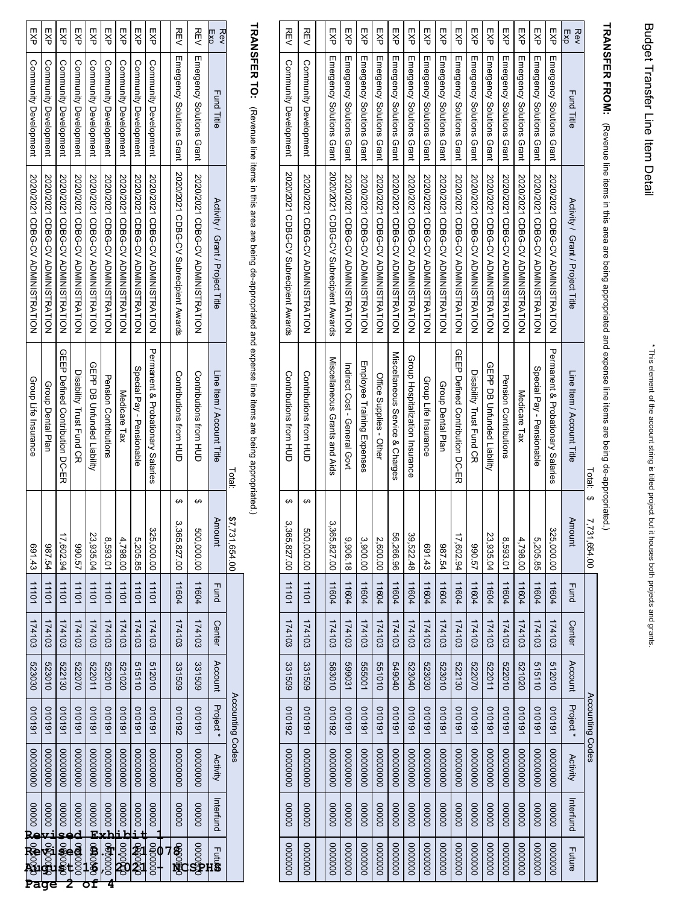|                   |                              |                                        | Total:                            | \$7,731,654.00         |       |               |                  | Accounting Codes |          |                   |                        |
|-------------------|------------------------------|----------------------------------------|-----------------------------------|------------------------|-------|---------------|------------------|------------------|----------|-------------------|------------------------|
| Exp<br><b>Rev</b> | <b>Fund Title</b>            | Activity / Grant / Project Title       | Line Item / Account Title         | Amount                 | Fund  | <b>Center</b> | Account Project* |                  | Activity | Interfund         | $\frac{1}{2}$          |
| REV               | Emergency Solutions Grant    | 2020/2021 CDBG-CV ADMINISTRATION       | Contributions from HUD            | မာ<br>500,000.00 11604 |       | 174103        | 331509           | 161010           | 00000000 | 00000             | \$30000                |
| REV               | Emergency Solutions Grant    | Novement Axards CN Suprecipient Axards | Contributions from HUD            | မာ<br>3,365,827.00     | 11604 | 174103        | 331509           | 261010           | 00000000 | 00000             | <b>BOOS</b>            |
|                   |                              |                                        |                                   |                        |       |               |                  |                  |          |                   |                        |
| EXP               | Community Development        | 2020/2021 CDBG-CV ADMINISTRATION       | Permanent & Propationary Calaries | 325,000.00 11101       |       | 174103        | 512010           | 161010           | 00000000 | 00000             | $\frac{1}{1000000}$    |
| EXP               | <b>Community Development</b> | 2020/2021 CDBG-CV ADMINISTRATION       | Special Pay - Pensionable         | 5,205.85               | 11101 | 174103        | 515110           | 101010           | 00000000 | agoge it and      |                        |
| EXP               | Community Development        | 2020/2021 CDBG-CV ADMINISTRATION       | Medicare Tax                      | 4,798.00 11101         |       | 174103        | 020129           | 161010           | 00000000 | <b>に0000</b>      | 000000                 |
| EXP               | Community Development        | 2020/2021 CDBG-CV ADMINISTRATION       | <b>Dension Contripritions</b>     | 8,593.01               | 11101 | 174103        | 010229           | 101019           | 00000000 |                   | ,000000 남 000000,<br>4 |
| EXP               | <b>Community Development</b> | 2020/2021 CDBG-CV ADMINISTRATION       | <b>ORPP DB Chrinded Liability</b> | 23,935.04              | 11101 | 174103        | 522011           | 101010           | 00000000 | 00000 EEI 0000000 |                        |
| EXP               | Community Development        | 2020/2021 CDBG-CV ADMINISTRATION       | Disapility Trust Hund CK          | <b>290.57</b>          | 11101 | 174103        | 02025            | 161010           | 00000000 | 00000 DD 00000    |                        |
| EXP               | Community Development        | 2020/2021 CDBG-CV ADMINISTRATION       | GEEP Defined Contribution DC-ER   | 17,602.94              | 11101 | 174103        | 522130           | 101019           | 00000000 | 00000             | <b>10000000</b>        |
| EXP               | Community Development        | 2020/2021 CDBG-CV ADMINISTRATION       | <b>Group Dental Plan</b>          | 987.54                 | 10111 | 174103        | 010829           | 101010           | 00000000 |                   |                        |
| EXP               | Community Development        | 2020/2021 CDBG-CV ADMINISTRATION       | Group Life Insurance              | 691.43 11101           |       | 174103        | 523030           | 161010           | 00000000 |                   |                        |

TRANSFER TO: (Revenue line items in this area are being de-appropriated and expense line items are being appropriated.) **TRANSFER TO:** (Revenue line items in this area are being de-appropriated and expense line items are being appropriated.)

| 0000000 | 00000     | 00000000 | 261010           | 331509  | 174103 | 11101       | ↮<br>3,365,827.00 | Contributions from HCD                       | 2020/2021 CDBG-CV Subrecipient Awards | Community Development     | <b>REV</b>     |
|---------|-----------|----------|------------------|---------|--------|-------------|-------------------|----------------------------------------------|---------------------------------------|---------------------------|----------------|
| 0000000 | 00000     | 00000000 | 1010191          | 331509  | 174103 | 11101       | ↔<br>500,000.00   | Contributions from エコロ                       | 2020/2021 CDBG-CV ADMINISTRATION      | Community Development     | <b>REV</b>     |
|         |           |          |                  |         |        |             |                   |                                              |                                       |                           |                |
| 0000000 | 00000     | 00000000 | 261010           | 010889  | 174103 | 11604       | 3,365,827.00      | Miscellaneous Grants and Aids                | 2020/201 CDBG-CV Subrecipient Awards  | Emergency Solutions Grant | RA<br>分        |
| 0000000 | 00000     | 00000000 | 1010191          | 599031  | 174103 | 11604       | 9,906.18          | Indirect Cost - General Govt                 | 2020/2021 CDBG-CV ADMINISTRATION      | Emergency Solutions Grant | EXP            |
| 0000000 | 00000     | 00000000 | 1010191          | 555001  | 174103 | 11604       | 3,900.00          | Employee Training Expenses                   | 2020/2021 CDBG-CV ADMINISTRATION      | Emergency Solutions Grant | SP<br>SP       |
| 0000000 | 00000     | 00000000 | 1010191          | 01019   | 174103 | 11604       | 2,600.00          | Office Supplies - Other                      | 2020/2021 CDBG-CV ADMINISTRATION      | Emergency Solutions Grant | 又<br>分         |
| 0000000 | 00000     | 00000000 | 1010191          | 070679  | 174103 | 11604       | 56,266.96         | Miscellaneous Service & Charges              | 2020/201 CDBG-CV ADMINISTRATION       | Emergency Solutions Grant | 只<br>分         |
| 0000000 | 00000     | 00000000 | 1010191          | 523040  | 174103 | 11604       | 39,522.48         | Group Hospitalization Insurance              | 2020/201 CDBG-CV ADMINISTRATION       | Emergency Solutions Grant | 又<br>分         |
| 0000000 | 00000     | 00000000 | 1010191          | 523030  | 174103 | 11604       | 691.43            | Group Life Insurance                         | 2020/2012 CDBG-CV ADMINISTRATION      | Emergency Solutions Grant | 又<br>分         |
| 0000000 | 00000     | 00000000 | 1010191          | 523010  | 174103 | 11604       | 12.54             | Group Dental Plan                            | 2020/2021 CDBG-CV ADMINISTRATION      | Emergency Solutions Grant | EXP            |
| 0000000 | 00000     | 00000000 | 1010191          | 522130  | 174103 | 11604       | 17,602.94         | GEEP Defined Contribution DC-EA              | 2020/2021 CDBG-CV ADMINISTRATION      | Emergency Solutions Grant | 又<br>分         |
| 0000000 | 00000     | 00000000 | 1010191          | 02020   | 174103 | 11604       | 75.098            | Disability Trust Fund CR                     | 2020/2021 CDBG-CV ADMINISTRATION      | Emergency Solutions Grant | 띳<br>싱         |
| 0000000 | 00000     | 00000000 | 1010191          | 522011  | 174103 | 11604       | 23,935.04         | GEPP DB Untunded Liability                   | 2020/2021 CDBG-CV ADMINISTRATION      | Emergency Solutions Grant | 又<br>分         |
| 0000000 | 00000     | 00000000 | 1010191          | 522010  | 174103 | 11604       | 8,593.01          | <b>Pension Contributions</b>                 | 2020/2021 CDBG-CV ADMINISTRATION      | Emergency Solutions Grant | 쫑              |
| 0000000 | 00000     | 00000000 | 1010191          | 521020  | 174103 | 11604       | 4,798.00          | Medicare Tax                                 | 2020/2012 CDBG-CV ADMINISTRATION      | Emergency Solutions Grant | EXP            |
| 0000000 | 00000     | 00000000 | 1010191          | 515110  | 174103 | 11604       | 5,205.85          | Special Pay - Pensionable                    | 2020/2021 CDBG-CV ADMINISTRATION      | Emergency Solutions Grant | EXP            |
| 0000000 | 00000     | 00000000 | 1010191          | 512010  | 174103 | 11604       | 325,000.00        | <b>Permanent &amp; Probationary Salaries</b> | 2020/2021 CDBG-CV ADMINISTRATION      | Emergency Solutions Grant | 只<br>分         |
| Future  | Interfund | Activity | Project*         | Account | Center | <b>Fund</b> | <b>Amount</b>     | Line Item / Account Title                    | Activity / Grant / Project Title      | <b>Fund Title</b>         | EX<br>D<br>Rev |
|         |           |          | Accounting Codes |         |        |             | မာ<br>731,654.00  | Total:                                       |                                       |                           |                |

## TRANSFER FROM: (Revenue line items in this area are being appropriated and expense line items are being de-appropriated.) **TRANSFER FROM:**  (Revenue line items in this area are being appropriated and expense line items are being de-appropriated.)

Budget Transfer Line Item Detail Budget Transfer Line Item Detail

\* This element of the account string is titled project but it houses both projects and grants.

\* This element of the account string is titled project but it houses both projects and grants.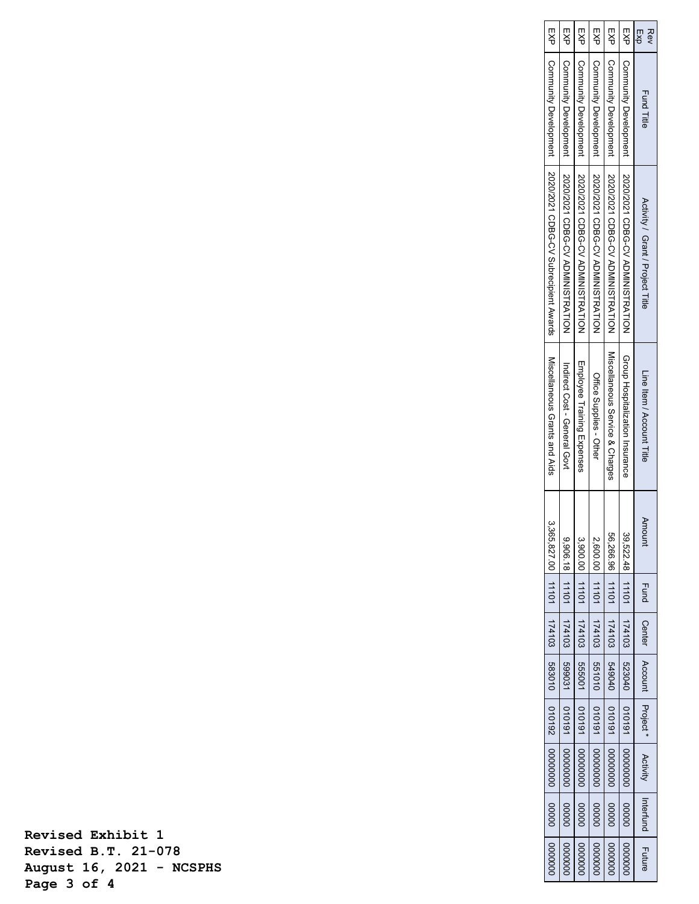|               | %365.827.00   11101   174103   583010   010192   000000000   00000   00000000 |                              |  |             |        | Miscellaneous Grants and Aids   | FXP   Community Development   2020/2021 CDBG-CV Subrecipient Awards |                       |            |
|---------------|-------------------------------------------------------------------------------|------------------------------|--|-------------|--------|---------------------------------|---------------------------------------------------------------------|-----------------------|------------|
| 0000000       | 9,906.18 11101 174103 599031 590031 010191 0000000 00000                      |                              |  |             |        | Indirect Cost - General Govt    | 2020/2021 CDBG-CV ADMINISTRATION                                    | Community Development | EXP        |
|               |                                                                               |                              |  |             |        | Employee Training Expenses      | │ Community Development │ 2020/2021 CDBG-CV ADMINISTRATION          |                       | EXP        |
|               | 2,600.00 11101 174103 551010 010191 00000000 00000 00000000                   |                              |  |             |        | Office Supplies - Other         | EXP   Community Development   2020/2021 ODBO-CV ADMINISHAATION      |                       |            |
| 0000000       | 56,266.96 11101 174103 549040 1010191 00000000 00000                          |                              |  |             |        | Miscellaneous Service & Charges | Community Development   2020/2021 CDBG-C/ ADMINISTRATION            |                       | EXP        |
| 10000000      | 39,522.48 11101 174103 523040 010191 00000000 00000                           |                              |  |             |        | Group Hospitalization Insurance | Community Development   2020/2021 CDBG-CV ADMINISTRATION            |                       | rs<br>R    |
| <b>Future</b> | Activity Interfund                                                            | Center   Account   Project * |  | <b>Fund</b> | Amount | Line Item / Account Title       | Activity / Grant / Project Title                                    | <b>Fund Title</b>     | EX9<br>Rev |

**Revised Exhibit 1 Revised B.T. 21-078 August 16, 2021 - NCSPHS Page 3 of 4**